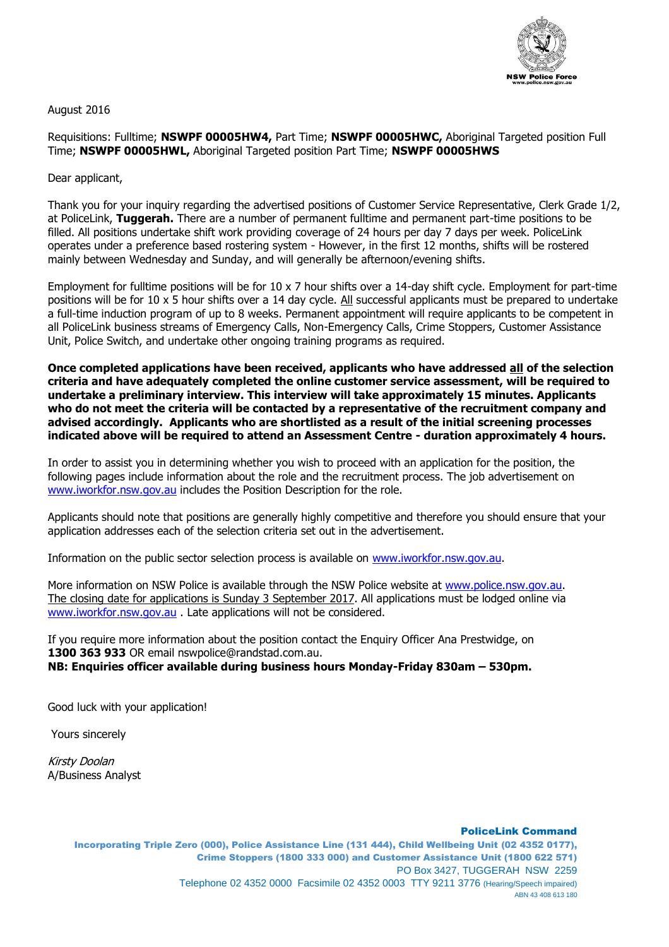

August 2016

Requisitions: Fulltime; **NSWPF 00005HW4,** Part Time; **NSWPF 00005HWC,** Aboriginal Targeted position Full Time; **NSWPF 00005HWL,** Aboriginal Targeted position Part Time; **NSWPF 00005HWS**

Dear applicant,

Thank you for your inquiry regarding the advertised positions of Customer Service Representative, Clerk Grade 1/2, at PoliceLink, **Tuggerah.** There are a number of permanent fulltime and permanent part-time positions to be filled. All positions undertake shift work providing coverage of 24 hours per day 7 days per week. PoliceLink operates under a preference based rostering system - However, in the first 12 months, shifts will be rostered mainly between Wednesday and Sunday, and will generally be afternoon/evening shifts.

Employment for fulltime positions will be for 10 x 7 hour shifts over a 14-day shift cycle. Employment for part-time positions will be for 10 x 5 hour shifts over a 14 day cycle. All successful applicants must be prepared to undertake a full-time induction program of up to 8 weeks. Permanent appointment will require applicants to be competent in all PoliceLink business streams of Emergency Calls, Non-Emergency Calls, Crime Stoppers, Customer Assistance Unit, Police Switch, and undertake other ongoing training programs as required.

**Once completed applications have been received, applicants who have addressed all of the selection criteria and have adequately completed the online customer service assessment, will be required to undertake a preliminary interview. This interview will take approximately 15 minutes. Applicants who do not meet the criteria will be contacted by a representative of the recruitment company and advised accordingly. Applicants who are shortlisted as a result of the initial screening processes indicated above will be required to attend an Assessment Centre - duration approximately 4 hours.**

In order to assist you in determining whether you wish to proceed with an application for the position, the following pages include information about the role and the recruitment process. The job advertisement on [www.iworkfor.nsw.gov.au](http://www.iworkfor.nsw.gov.au/) includes the Position Description for the role.

Applicants should note that positions are generally highly competitive and therefore you should ensure that your application addresses each of the selection criteria set out in the advertisement.

Information on the public sector selection process is available on www.iworkfor.nsw.gov.au.

More information on NSW Police is available through the NSW Police website at [www.police.nsw.gov.au.](http://www.police.nsw.gov.au/) The closing date for applications is Sunday 3 September 2017. All applications must be lodged online via [www.iworkfor.nsw.gov.au](http://www.iworkfor.nsw.gov.au/) . Late applications will not be considered.

If you require more information about the position contact the Enquiry Officer Ana Prestwidge, on **1300 363 933** OR email nswpolice@randstad.com.au. **NB: Enquiries officer available during business hours Monday-Friday 830am – 530pm.**

Good luck with your application!

Yours sincerely

Kirsty Doolan A/Business Analyst

PoliceLink Command

Incorporating Triple Zero (000), Police Assistance Line (131 444), Child Wellbeing Unit (02 4352 0177), Crime Stoppers (1800 333 000) and Customer Assistance Unit (1800 622 571) PO Box 3427, TUGGERAH NSW 2259 Telephone 02 4352 0000 Facsimile 02 4352 0003 TTY 9211 3776 (Hearing/Speech impaired) ABN 43 408 613 180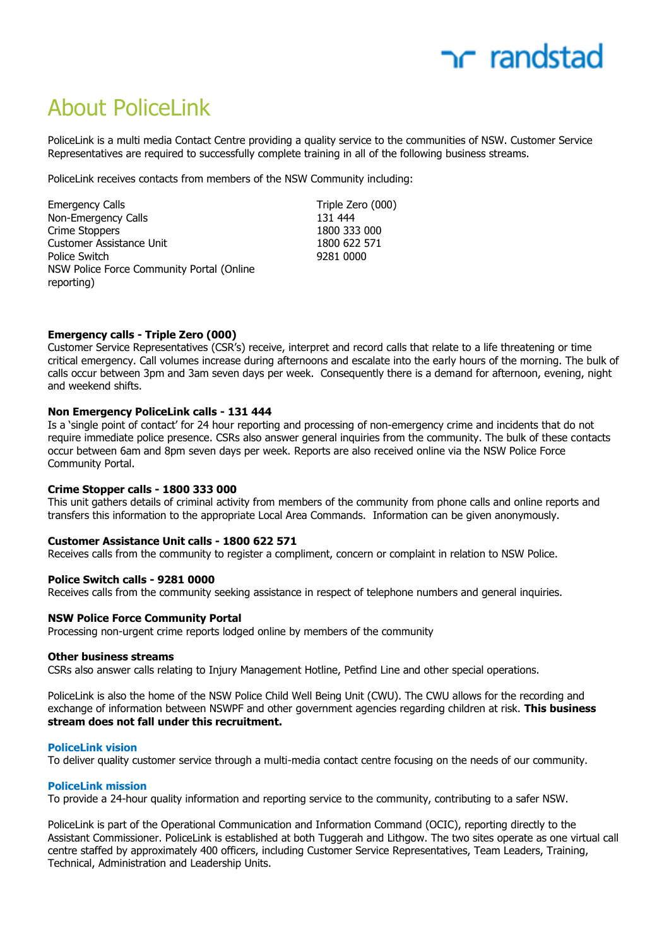

# About PoliceLink

PoliceLink is a multi media Contact Centre providing a quality service to the communities of NSW. Customer Service Representatives are required to successfully complete training in all of the following business streams.

PoliceLink receives contacts from members of the NSW Community including:

| <b>Emergency Calls</b>                    | Triple Ze |
|-------------------------------------------|-----------|
| Non-Emergency Calls                       | 131 444   |
| Crime Stoppers                            | 1800 33   |
| Customer Assistance Unit                  | 1800 62   |
| Police Switch                             | 9281 00   |
| NSW Police Force Community Portal (Online |           |
| reporting)                                |           |

Triple Zero (000) Crime Stoppers 1800 333 000 1800 622 571 9281 0000

#### **Emergency calls - Triple Zero (000)**

Customer Service Representatives (CSR's) receive, interpret and record calls that relate to a life threatening or time critical emergency. Call volumes increase during afternoons and escalate into the early hours of the morning. The bulk of calls occur between 3pm and 3am seven days per week. Consequently there is a demand for afternoon, evening, night and weekend shifts.

### **Non Emergency PoliceLink calls - 131 444**

Is a 'single point of contact' for 24 hour reporting and processing of non-emergency crime and incidents that do not require immediate police presence. CSRs also answer general inquiries from the community. The bulk of these contacts occur between 6am and 8pm seven days per week. Reports are also received online via the NSW Police Force Community Portal.

#### **Crime Stopper calls - 1800 333 000**

This unit gathers details of criminal activity from members of the community from phone calls and online reports and transfers this information to the appropriate Local Area Commands. Information can be given anonymously.

#### **Customer Assistance Unit calls - 1800 622 571**

Receives calls from the community to register a compliment, concern or complaint in relation to NSW Police.

#### **Police Switch calls - 9281 0000**

Receives calls from the community seeking assistance in respect of telephone numbers and general inquiries.

#### **NSW Police Force Community Portal**

Processing non-urgent crime reports lodged online by members of the community

#### **Other business streams**

CSRs also answer calls relating to Injury Management Hotline, Petfind Line and other special operations.

PoliceLink is also the home of the NSW Police Child Well Being Unit (CWU). The CWU allows for the recording and exchange of information between NSWPF and other government agencies regarding children at risk. **This business stream does not fall under this recruitment.**

#### **PoliceLink vision**

To deliver quality customer service through a multi-media contact centre focusing on the needs of our community.

#### **PoliceLink mission**

To provide a 24-hour quality information and reporting service to the community, contributing to a safer NSW.

PoliceLink is part of the Operational Communication and Information Command (OCIC), reporting directly to the Assistant Commissioner. PoliceLink is established at both Tuggerah and Lithgow. The two sites operate as one virtual call centre staffed by approximately 400 officers, including Customer Service Representatives, Team Leaders, Training, Technical, Administration and Leadership Units.